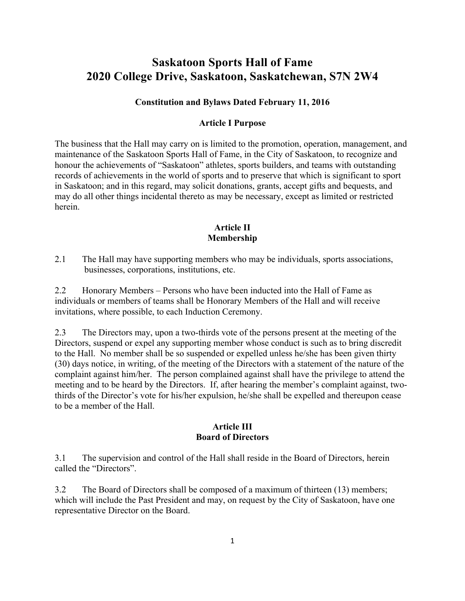# **Saskatoon Sports Hall of Fame 2020 College Drive, Saskatoon, Saskatchewan, S7N 2W4**

#### **Constitution and Bylaws Dated February 11, 2016**

#### **Article I Purpose**

The business that the Hall may carry on is limited to the promotion, operation, management, and maintenance of the Saskatoon Sports Hall of Fame, in the City of Saskatoon, to recognize and honour the achievements of "Saskatoon" athletes, sports builders, and teams with outstanding records of achievements in the world of sports and to preserve that which is significant to sport in Saskatoon; and in this regard, may solicit donations, grants, accept gifts and bequests, and may do all other things incidental thereto as may be necessary, except as limited or restricted herein.

#### **Article II Membership**

2.1 The Hall may have supporting members who may be individuals, sports associations, businesses, corporations, institutions, etc.

2.2 Honorary Members – Persons who have been inducted into the Hall of Fame as individuals or members of teams shall be Honorary Members of the Hall and will receive invitations, where possible, to each Induction Ceremony.

2.3 The Directors may, upon a two-thirds vote of the persons present at the meeting of the Directors, suspend or expel any supporting member whose conduct is such as to bring discredit to the Hall. No member shall be so suspended or expelled unless he/she has been given thirty (30) days notice, in writing, of the meeting of the Directors with a statement of the nature of the complaint against him/her. The person complained against shall have the privilege to attend the meeting and to be heard by the Directors. If, after hearing the member's complaint against, twothirds of the Director's vote for his/her expulsion, he/she shall be expelled and thereupon cease to be a member of the Hall.

#### **Article III Board of Directors**

3.1 The supervision and control of the Hall shall reside in the Board of Directors, herein called the "Directors".

3.2 The Board of Directors shall be composed of a maximum of thirteen (13) members; which will include the Past President and may, on request by the City of Saskatoon, have one representative Director on the Board.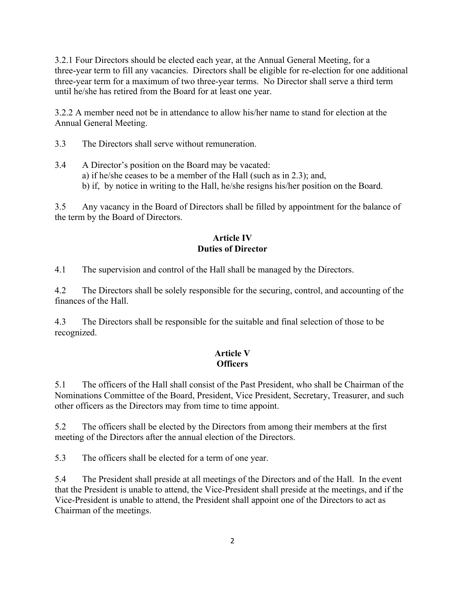3.2.1 Four Directors should be elected each year, at the Annual General Meeting, for a three-year term to fill any vacancies. Directors shall be eligible for re-election for one additional three-year term for a maximum of two three-year terms. No Director shall serve a third term until he/she has retired from the Board for at least one year.

3.2.2 A member need not be in attendance to allow his/her name to stand for election at the Annual General Meeting.

3.3 The Directors shall serve without remuneration.

3.4 A Director's position on the Board may be vacated: a) if he/she ceases to be a member of the Hall (such as in 2.3); and, b) if, by notice in writing to the Hall, he/she resigns his/her position on the Board.

3.5 Any vacancy in the Board of Directors shall be filled by appointment for the balance of the term by the Board of Directors.

# **Article IV Duties of Director**

4.1 The supervision and control of the Hall shall be managed by the Directors.

4.2 The Directors shall be solely responsible for the securing, control, and accounting of the finances of the Hall.

4.3 The Directors shall be responsible for the suitable and final selection of those to be recognized.

# **Article V Officers**

5.1 The officers of the Hall shall consist of the Past President, who shall be Chairman of the Nominations Committee of the Board, President, Vice President, Secretary, Treasurer, and such other officers as the Directors may from time to time appoint.

5.2 The officers shall be elected by the Directors from among their members at the first meeting of the Directors after the annual election of the Directors.

5.3 The officers shall be elected for a term of one year.

5.4 The President shall preside at all meetings of the Directors and of the Hall. In the event that the President is unable to attend, the Vice-President shall preside at the meetings, and if the Vice-President is unable to attend, the President shall appoint one of the Directors to act as Chairman of the meetings.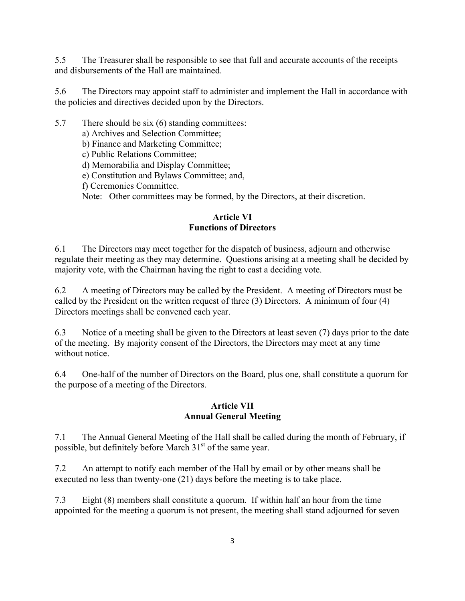5.5 The Treasurer shall be responsible to see that full and accurate accounts of the receipts and disbursements of the Hall are maintained.

5.6 The Directors may appoint staff to administer and implement the Hall in accordance with the policies and directives decided upon by the Directors.

5.7 There should be six (6) standing committees:

a) Archives and Selection Committee;

b) Finance and Marketing Committee;

c) Public Relations Committee;

d) Memorabilia and Display Committee;

e) Constitution and Bylaws Committee; and,

f) Ceremonies Committee.

Note: Other committees may be formed, by the Directors, at their discretion.

#### **Article VI Functions of Directors**

6.1 The Directors may meet together for the dispatch of business, adjourn and otherwise regulate their meeting as they may determine. Questions arising at a meeting shall be decided by majority vote, with the Chairman having the right to cast a deciding vote.

6.2 A meeting of Directors may be called by the President. A meeting of Directors must be called by the President on the written request of three (3) Directors. A minimum of four (4) Directors meetings shall be convened each year.

6.3 Notice of a meeting shall be given to the Directors at least seven (7) days prior to the date of the meeting. By majority consent of the Directors, the Directors may meet at any time without notice

6.4 One-half of the number of Directors on the Board, plus one, shall constitute a quorum for the purpose of a meeting of the Directors.

#### **Article VII Annual General Meeting**

7.1 The Annual General Meeting of the Hall shall be called during the month of February, if possible, but definitely before March 31<sup>st</sup> of the same year.

7.2 An attempt to notify each member of the Hall by email or by other means shall be executed no less than twenty-one (21) days before the meeting is to take place.

7.3 Eight (8) members shall constitute a quorum. If within half an hour from the time appointed for the meeting a quorum is not present, the meeting shall stand adjourned for seven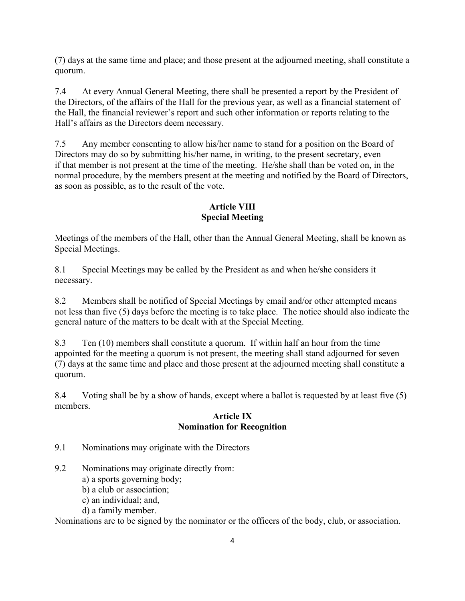(7) days at the same time and place; and those present at the adjourned meeting, shall constitute a quorum.

7.4 At every Annual General Meeting, there shall be presented a report by the President of the Directors, of the affairs of the Hall for the previous year, as well as a financial statement of the Hall, the financial reviewer's report and such other information or reports relating to the Hall's affairs as the Directors deem necessary.

7.5 Any member consenting to allow his/her name to stand for a position on the Board of Directors may do so by submitting his/her name, in writing, to the present secretary, even if that member is not present at the time of the meeting. He/she shall than be voted on, in the normal procedure, by the members present at the meeting and notified by the Board of Directors, as soon as possible, as to the result of the vote.

# **Article VIII Special Meeting**

Meetings of the members of the Hall, other than the Annual General Meeting, shall be known as Special Meetings.

8.1 Special Meetings may be called by the President as and when he/she considers it necessary.

8.2 Members shall be notified of Special Meetings by email and/or other attempted means not less than five (5) days before the meeting is to take place. The notice should also indicate the general nature of the matters to be dealt with at the Special Meeting.

8.3 Ten (10) members shall constitute a quorum. If within half an hour from the time appointed for the meeting a quorum is not present, the meeting shall stand adjourned for seven (7) days at the same time and place and those present at the adjourned meeting shall constitute a quorum.

8.4 Voting shall be by a show of hands, except where a ballot is requested by at least five (5) members.

#### **Article IX Nomination for Recognition**

9.1 Nominations may originate with the Directors

# 9.2 Nominations may originate directly from:

a) a sports governing body;

- b) a club or association;
- c) an individual; and,
- d) a family member.

Nominations are to be signed by the nominator or the officers of the body, club, or association.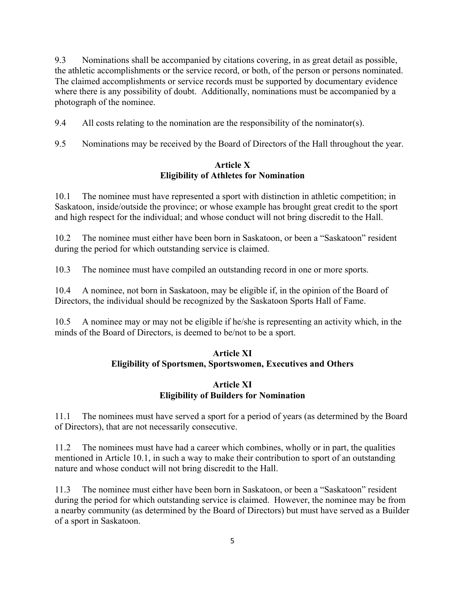9.3 Nominations shall be accompanied by citations covering, in as great detail as possible, the athletic accomplishments or the service record, or both, of the person or persons nominated. The claimed accomplishments or service records must be supported by documentary evidence where there is any possibility of doubt. Additionally, nominations must be accompanied by a photograph of the nominee.

9.4 All costs relating to the nomination are the responsibility of the nominator(s).

9.5 Nominations may be received by the Board of Directors of the Hall throughout the year.

## **Article X Eligibility of Athletes for Nomination**

10.1 The nominee must have represented a sport with distinction in athletic competition; in Saskatoon, inside/outside the province; or whose example has brought great credit to the sport and high respect for the individual; and whose conduct will not bring discredit to the Hall.

10.2 The nominee must either have been born in Saskatoon, or been a "Saskatoon" resident during the period for which outstanding service is claimed.

10.3 The nominee must have compiled an outstanding record in one or more sports.

10.4 A nominee, not born in Saskatoon, may be eligible if, in the opinion of the Board of Directors, the individual should be recognized by the Saskatoon Sports Hall of Fame.

10.5 A nominee may or may not be eligible if he/she is representing an activity which, in the minds of the Board of Directors, is deemed to be/not to be a sport.

## **Article XI Eligibility of Sportsmen, Sportswomen, Executives and Others**

# **Article XI Eligibility of Builders for Nomination**

11.1 The nominees must have served a sport for a period of years (as determined by the Board of Directors), that are not necessarily consecutive.

11.2 The nominees must have had a career which combines, wholly or in part, the qualities mentioned in Article 10.1, in such a way to make their contribution to sport of an outstanding nature and whose conduct will not bring discredit to the Hall.

11.3 The nominee must either have been born in Saskatoon, or been a "Saskatoon" resident during the period for which outstanding service is claimed. However, the nominee may be from a nearby community (as determined by the Board of Directors) but must have served as a Builder of a sport in Saskatoon.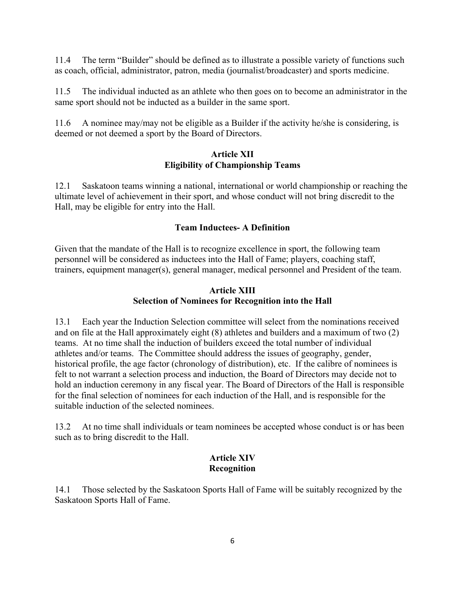11.4 The term "Builder" should be defined as to illustrate a possible variety of functions such as coach, official, administrator, patron, media (journalist/broadcaster) and sports medicine.

11.5 The individual inducted as an athlete who then goes on to become an administrator in the same sport should not be inducted as a builder in the same sport.

11.6 A nominee may/may not be eligible as a Builder if the activity he/she is considering, is deemed or not deemed a sport by the Board of Directors.

#### **Article XII Eligibility of Championship Teams**

12.1 Saskatoon teams winning a national, international or world championship or reaching the ultimate level of achievement in their sport, and whose conduct will not bring discredit to the Hall, may be eligible for entry into the Hall.

## **Team Inductees- A Definition**

Given that the mandate of the Hall is to recognize excellence in sport, the following team personnel will be considered as inductees into the Hall of Fame; players, coaching staff, trainers, equipment manager(s), general manager, medical personnel and President of the team.

#### **Article XIII Selection of Nominees for Recognition into the Hall**

13.1 Each year the Induction Selection committee will select from the nominations received and on file at the Hall approximately eight (8) athletes and builders and a maximum of two (2) teams. At no time shall the induction of builders exceed the total number of individual athletes and/or teams. The Committee should address the issues of geography, gender, historical profile, the age factor (chronology of distribution), etc. If the calibre of nominees is felt to not warrant a selection process and induction, the Board of Directors may decide not to hold an induction ceremony in any fiscal year. The Board of Directors of the Hall is responsible for the final selection of nominees for each induction of the Hall, and is responsible for the suitable induction of the selected nominees.

13.2 At no time shall individuals or team nominees be accepted whose conduct is or has been such as to bring discredit to the Hall.

## **Article XIV Recognition**

14.1 Those selected by the Saskatoon Sports Hall of Fame will be suitably recognized by the Saskatoon Sports Hall of Fame.